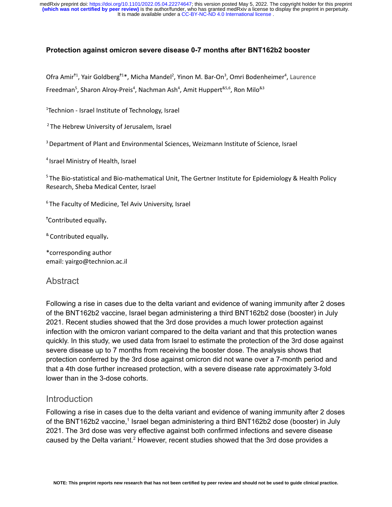#### **Protection against omicron severe disease 0-7 months after BNT162b2 booster**

Ofra Amir<sup>t1</sup>, Yair Goldberg<sup>t1</sup>\*, Micha Mandel<sup>2</sup>, Yinon M. Bar-On<sup>3</sup>, Omri Bodenheimer<sup>4</sup>, Laurence Freedman<sup>5</sup>, Sharon Alroy-Preis<sup>4</sup>, Nachman Ash<sup>4</sup>, Amit Huppert<sup>&5,6</sup>, Ron Milo<sup>&3</sup>

<sup>1</sup>Technion - Israel Institute of Technology, Israel

<sup>2</sup> The Hebrew University of Jerusalem, Israel

<sup>3</sup> Department of Plant and Environmental Sciences, Weizmann Institute of Science, Israel

4 Israel Ministry of Health, Israel

<sup>5</sup> The Bio-statistical and Bio-mathematical Unit, The Gertner Institute for Epidemiology & Health Policy Research, Sheba Medical Center, Israel

 $6$ The Faculty of Medicine, Tel Aviv University, Israel

<sup>Ϯ</sup>Contributed equally**.**

& Contributed equally**.**

\*corresponding author email: yairgo@technion.ac.il

### **Abstract**

Following a rise in cases due to the delta variant and evidence of waning immunity after 2 doses of the BNT162b2 vaccine, Israel began administering a third BNT162b2 dose (booster) in July 2021. Recent studies showed that the 3rd dose provides a much lower protection against infection with the omicron variant compared to the delta variant and that this protection wanes quickly. In this study, we used data from Israel to estimate the protection of the 3rd dose against severe disease up to 7 months from receiving the booster dose. The analysis shows that protection conferred by the 3rd dose against omicron did not wane over a 7-month period and that a 4th dose further increased protection, with a severe disease rate approximately 3-fold lower than in the 3-dose cohorts.

### Introduction

Following a rise in cases due to the delta variant and evidence of waning immunity after 2 doses of the BNT[1](https://www.zotero.org/google-docs/?61pexK)62b2 vaccine,<sup>1</sup> Israel began administering a third BNT162b2 dose (booster) in July 2021. The 3rd dose was very effective against both confirmed infections and severe disease caused by the Delta variant.<sup>[2](https://www.zotero.org/google-docs/?WiGIgg)</sup> However, recent studies showed that the 3rd dose provides a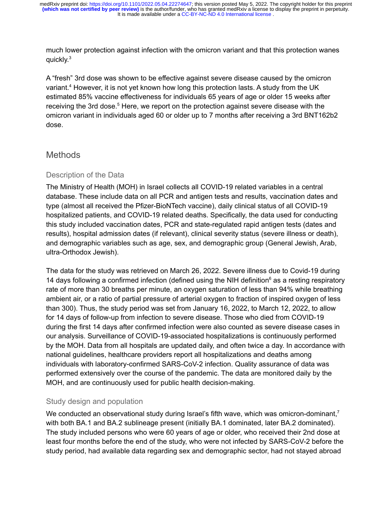It is made available under a [CC-BY-NC-ND 4.0 International license](http://creativecommons.org/licenses/by-nc-nd/4.0/) . **(which was not certified by peer review)** is the author/funder, who has granted medRxiv a license to display the preprint in perpetuity. medRxiv preprint doi: [https://doi.org/10.1101/2022.05.04.22274647;](https://doi.org/10.1101/2022.05.04.22274647) this version posted May 5, 2022. The copyright holder for this preprint

much lower protection against infection with the omicron variant and that this protection wanes quickly.[3](https://www.zotero.org/google-docs/?rLvkZr)

A "fresh" 3rd dose was shown to be effective against severe disease caused by the omicron variant.<sup>[4](https://www.zotero.org/google-docs/?UgtjS4)</sup> However, it is not yet known how long this protection lasts. A study from the UK estimated 85% vaccine effectiveness for individuals 65 years of age or older 15 weeks after receiving the 3rd dose.<sup>[5](https://www.zotero.org/google-docs/?HDpM8F)</sup> Here, we report on the protection against severe disease with the omicron variant in individuals aged 60 or older up to 7 months after receiving a 3rd BNT162b2 dose.

# **Methods**

### Description of the Data

The Ministry of Health (MOH) in Israel collects all COVID-19 related variables in a central database. These include data on all PCR and antigen tests and results, vaccination dates and type (almost all received the Pfizer-BioNTech vaccine), daily clinical status of all COVID-19 hospitalized patients, and COVID-19 related deaths. Specifically, the data used for conducting this study included vaccination dates, PCR and state-regulated rapid antigen tests (dates and results), hospital admission dates (if relevant), clinical severity status (severe illness or death), and demographic variables such as age, sex, and demographic group (General Jewish, Arab, ultra-Orthodox Jewish).

The data for the study was retrieved on March 26, 2022. Severe illness due to Covid-19 during 14 days following a confirmed infection (defined using the NIH definition<sup>[6](https://www.zotero.org/google-docs/?Rt5MGx)</sup> as a resting respiratory rate of more than 30 breaths per minute, an oxygen saturation of less than 94% while breathing ambient air, or a ratio of partial pressure of arterial oxygen to fraction of inspired oxygen of less than 300). Thus, the study period was set from January 16, 2022, to March 12, 2022, to allow for 14 days of follow-up from infection to severe disease. Those who died from COVID-19 during the first 14 days after confirmed infection were also counted as severe disease cases in our analysis. Surveillance of COVID-19-associated hospitalizations is continuously performed by the MOH. Data from all hospitals are updated daily, and often twice a day. In accordance with national guidelines, healthcare providers report all hospitalizations and deaths among individuals with laboratory-confirmed SARS-CoV-2 infection. Quality assurance of data was performed extensively over the course of the pandemic. The data are monitored daily by the MOH, and are continuously used for public health decision-making.

### Study design and population

We conducted an observational study during Israel's fifth wave, which was omicron-dominant,<sup>[7](https://www.zotero.org/google-docs/?IIwY0z)</sup> with both BA.1 and BA.2 sublineage present (initially BA.1 dominated, later BA.2 dominated). The study included persons who were 60 years of age or older, who received their 2nd dose at least four months before the end of the study, who were not infected by SARS-CoV-2 before the study period, had available data regarding sex and demographic sector, had not stayed abroad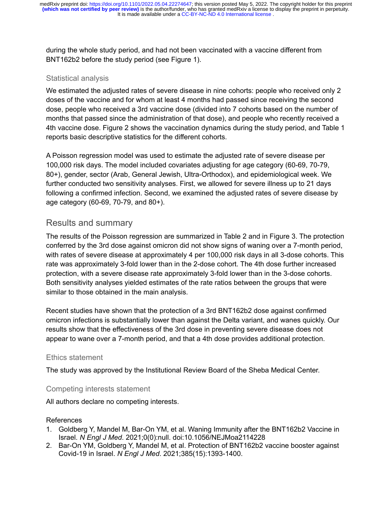during the whole study period, and had not been vaccinated with a vaccine different from BNT162b2 before the study period (see Figure 1).

#### Statistical analysis

We estimated the adjusted rates of severe disease in nine cohorts: people who received only 2 doses of the vaccine and for whom at least 4 months had passed since receiving the second dose, people who received a 3rd vaccine dose (divided into 7 cohorts based on the number of months that passed since the administration of that dose), and people who recently received a 4th vaccine dose. Figure 2 shows the vaccination dynamics during the study period, and Table 1 reports basic descriptive statistics for the different cohorts.

A Poisson regression model was used to estimate the adjusted rate of severe disease per 100,000 risk days. The model included covariates adjusting for age category (60-69, 70-79, 80+), gender, sector (Arab, General Jewish, Ultra-Orthodox), and epidemiological week. We further conducted two sensitivity analyses. First, we allowed for severe illness up to 21 days following a confirmed infection. Second, we examined the adjusted rates of severe disease by age category (60-69, 70-79, and 80+).

# Results and summary

The results of the Poisson regression are summarized in Table 2 and in Figure 3. The protection conferred by the 3rd dose against omicron did not show signs of waning over a 7-month period, with rates of severe disease at approximately 4 per 100,000 risk days in all 3-dose cohorts. This rate was approximately 3-fold lower than in the 2-dose cohort. The 4th dose further increased protection, with a severe disease rate approximately 3-fold lower than in the 3-dose cohorts. Both sensitivity analyses yielded estimates of the rate ratios between the groups that were similar to those obtained in the main analysis.

Recent studies have shown that the protection of a 3rd BNT162b2 dose against confirmed omicron infections is substantially lower than against the Delta variant, and wanes quickly. Our results show that the effectiveness of the 3rd dose in preventing severe disease does not appear to wane over a 7-month period, and that a 4th dose provides additional protection.

### Ethics statement

The study was approved by the Institutional Review Board of the Sheba Medical Center.

### Competing interests statement

All authors declare no competing interests.

#### References

- [1. Goldberg Y, Mandel M, Bar-On YM, et al. Waning Immunity after the BNT162b2 Vaccine in](https://www.zotero.org/google-docs/?Xt8QoO) Israel. *N Engl J Med*[. 2021;0\(0\):null. doi:10.1056/NEJMoa2114228](https://www.zotero.org/google-docs/?Xt8QoO)
- [2. Bar-On YM, Goldberg Y, Mandel M, et al. Protection of BNT162b2 vaccine booster against](https://www.zotero.org/google-docs/?Xt8QoO) Covid-19 in Israel. *N Engl J Med*[. 2021;385\(15\):1393-1400.](https://www.zotero.org/google-docs/?Xt8QoO)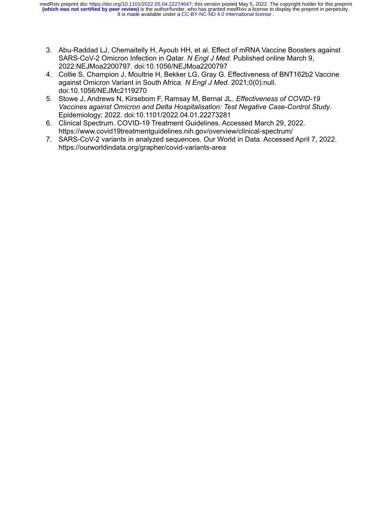It is made available under a [CC-BY-NC-ND 4.0 International license](http://creativecommons.org/licenses/by-nc-nd/4.0/) . **(which was not certified by peer review)** is the author/funder, who has granted medRxiv a license to display the preprint in perpetuity. medRxiv preprint doi: [https://doi.org/10.1101/2022.05.04.22274647;](https://doi.org/10.1101/2022.05.04.22274647) this version posted May 5, 2022. The copyright holder for this preprint

- [3. Abu-Raddad LJ, Chemaitelly H, Ayoub HH, et al. Effect of mRNA Vaccine Boosters against](https://www.zotero.org/google-docs/?Xt8QoO) [SARS-CoV-2 Omicron Infection in Qatar.](https://www.zotero.org/google-docs/?Xt8QoO) *N Engl J Med*. Published online March 9, [2022:NEJMoa2200797. doi:10.1056/NEJMoa2200797](https://www.zotero.org/google-docs/?Xt8QoO)
- [4. Collie S, Champion J, Moultrie H, Bekker LG, Gray G. Effectiveness of BNT162b2 Vaccine](https://www.zotero.org/google-docs/?Xt8QoO) [against Omicron Variant in South Africa.](https://www.zotero.org/google-docs/?Xt8QoO) *N Engl J Med*. 2021;0(0):null. [doi:10.1056/NEJMc2119270](https://www.zotero.org/google-docs/?Xt8QoO)
- [5. Stowe J, Andrews N, Kirsebom F, Ramsay M, Bernal JL.](https://www.zotero.org/google-docs/?Xt8QoO) *Effectiveness of COVID-19 [Vaccines against Omicron and Delta Hospitalisation: Test Negative Case-Control Study](https://www.zotero.org/google-docs/?Xt8QoO)*. [Epidemiology; 2022. doi:10.1101/2022.04.01.22273281](https://www.zotero.org/google-docs/?Xt8QoO)
- [6. Clinical Spectrum. COVID-19 Treatment Guidelines. Accessed March 29, 2022.](https://www.zotero.org/google-docs/?Xt8QoO) [https://www.covid19treatmentguidelines.nih.gov/overview/clinical-spectrum/](https://www.zotero.org/google-docs/?Xt8QoO)
- [7. SARS-CoV-2 variants in analyzed sequences. Our World in Data. Accessed April 7, 2022.](https://www.zotero.org/google-docs/?Xt8QoO) [https://ourworldindata.org/grapher/covid-variants-area](https://www.zotero.org/google-docs/?Xt8QoO)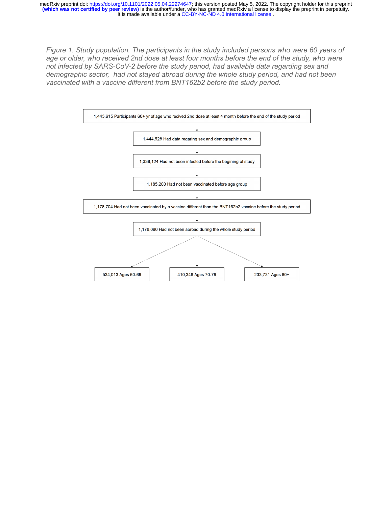It is made available under a [CC-BY-NC-ND 4.0 International license](http://creativecommons.org/licenses/by-nc-nd/4.0/) . **(which was not certified by peer review)** is the author/funder, who has granted medRxiv a license to display the preprint in perpetuity. medRxiv preprint doi: [https://doi.org/10.1101/2022.05.04.22274647;](https://doi.org/10.1101/2022.05.04.22274647) this version posted May 5, 2022. The copyright holder for this preprint

*Figure 1. Study population. The participants in the study included persons who were 60 years of age or older, who received 2nd dose at least four months before the end of the study, who were not infected by SARS-CoV-2 before the study period, had available data regarding sex and demographic sector, had not stayed abroad during the whole study period, and had not been vaccinated with a vaccine different from BNT162b2 before the study period.*

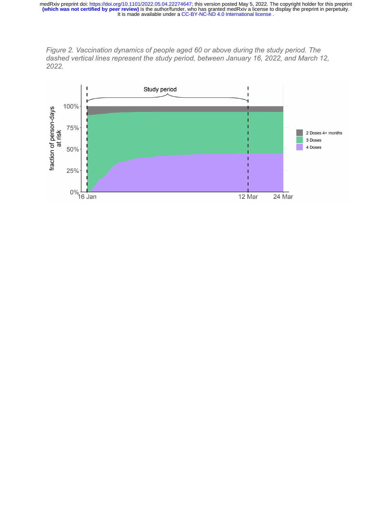

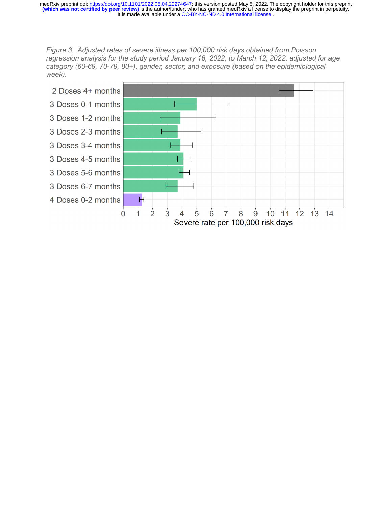*Figure 3. Adjusted rates of severe illness per 100,000 risk days obtained from Poisson regression analysis for the study period January 16, 2022, to March 12, 2022, adjusted for age category (60-69, 70-79, 80+), gender, sector, and exposure (based on the epidemiological week).*

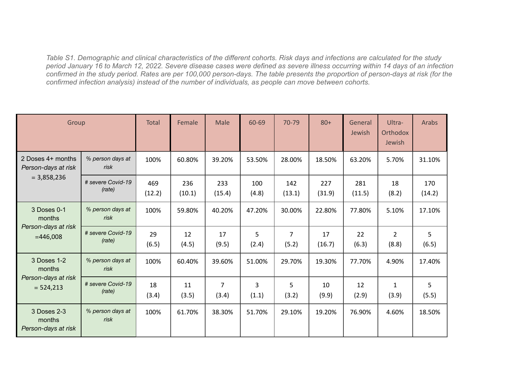*Table S1. Demographic and clinical characteristics of the different cohorts. Risk days and infections are calculated for the study period January 16 to March 12, 2022. Severe disease cases were defined as severe illness occurring within 14 days of an infection confirmed in the study period. Rates are per 100,000 person-days. The table presents the proportion of person-days at risk (for the confirmed infection analysis) instead of the number of individuals, as people can move between cohorts.*

| Group                                                       |                             | <b>Total</b>  | Female        | Male                    | 60-69                   | 70-79         | $80+$         | General<br>Jewish | Ultra-<br>Orthodox<br>Jewish | Arabs         |
|-------------------------------------------------------------|-----------------------------|---------------|---------------|-------------------------|-------------------------|---------------|---------------|-------------------|------------------------------|---------------|
| 2 Doses 4+ months<br>Person-days at risk<br>$= 3,858,236$   | % person days at<br>risk    | 100%          | 60.80%        | 39.20%                  | 53.50%                  | 28.00%        | 18.50%        | 63.20%            | 5.70%                        | 31.10%        |
|                                                             | # severe Covid-19<br>(rate) | 469<br>(12.2) | 236<br>(10.1) | 233<br>(15.4)           | 100<br>(4.8)            | 142<br>(13.1) | 227<br>(31.9) | 281<br>(11.5)     | 18<br>(8.2)                  | 170<br>(14.2) |
| 3 Doses 0-1<br>months<br>Person-days at risk<br>$=446,008$  | % person days at<br>risk    | 100%          | 59.80%        | 40.20%                  | 47.20%                  | 30.00%        | 22.80%        | 77.80%            | 5.10%                        | 17.10%        |
|                                                             | # severe Covid-19<br>(rate) | 29<br>(6.5)   | 12<br>(4.5)   | 17<br>(9.5)             | 5<br>(2.4)              | 7<br>(5.2)    | 17<br>(16.7)  | 22<br>(6.3)       | $\overline{2}$<br>(8.8)      | 5<br>(6.5)    |
| 3 Doses 1-2<br>months<br>Person-days at risk<br>$= 524,213$ | % person days at<br>risk    | 100%          | 60.40%        | 39.60%                  | 51.00%                  | 29.70%        | 19.30%        | 77.70%            | 4.90%                        | 17.40%        |
|                                                             | # severe Covid-19<br>(rate) | 18<br>(3.4)   | 11<br>(3.5)   | $\overline{7}$<br>(3.4) | $\overline{3}$<br>(1.1) | 5<br>(3.2)    | 10<br>(9.9)   | 12<br>(2.9)       | $\mathbf{1}$<br>(3.9)        | 5<br>(5.5)    |
| 3 Doses 2-3<br>months<br>Person-days at risk                | % person days at<br>risk    | 100%          | 61.70%        | 38.30%                  | 51.70%                  | 29.10%        | 19.20%        | 76.90%            | 4.60%                        | 18.50%        |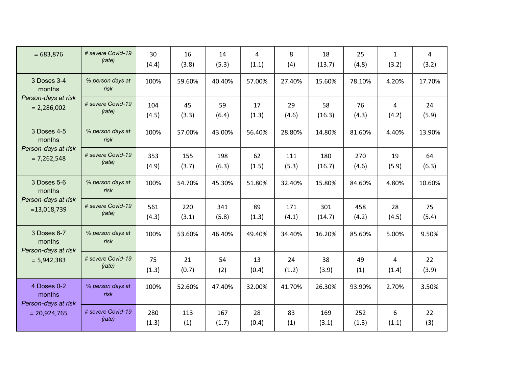| $= 683,876$                                                    | # severe Covid-19<br>(rate) | 30<br>(4.4)  | 16<br>(3.8)  | 14<br>(5.3)  | $\overline{a}$<br>(1.1) | 8<br>(4)     | 18<br>(13.7)  | 25<br>(4.8)  | $\mathbf{1}$<br>(3.2) | 4<br>(3.2)  |
|----------------------------------------------------------------|-----------------------------|--------------|--------------|--------------|-------------------------|--------------|---------------|--------------|-----------------------|-------------|
| 3 Doses 3-4<br>months<br>Person-days at risk<br>$= 2,286,002$  | % person days at<br>risk    | 100%         | 59.60%       | 40.40%       | 57.00%                  | 27.40%       | 15.60%        | 78.10%       | 4.20%                 | 17.70%      |
|                                                                | # severe Covid-19<br>(rate) | 104<br>(4.5) | 45<br>(3.3)  | 59<br>(6.4)  | 17<br>(1.3)             | 29<br>(4.6)  | 58<br>(16.3)  | 76<br>(4.3)  | 4<br>(4.2)            | 24<br>(5.9) |
| 3 Doses 4-5<br>months<br>Person-days at risk<br>$= 7,262,548$  | % person days at<br>risk    | 100%         | 57.00%       | 43.00%       | 56.40%                  | 28.80%       | 14.80%        | 81.60%       | 4.40%                 | 13.90%      |
|                                                                | # severe Covid-19<br>(rate) | 353<br>(4.9) | 155<br>(3.7) | 198<br>(6.3) | 62<br>(1.5)             | 111<br>(5.3) | 180<br>(16.7) | 270<br>(4.6) | 19<br>(5.9)           | 64<br>(6.3) |
| 3 Doses 5-6<br>months<br>Person-days at risk<br>$= 13,018,739$ | % person days at<br>risk    | 100%         | 54.70%       | 45.30%       | 51.80%                  | 32.40%       | 15.80%        | 84.60%       | 4.80%                 | 10.60%      |
|                                                                | # severe Covid-19<br>(rate) | 561<br>(4.3) | 220<br>(3.1) | 341<br>(5.8) | 89<br>(1.3)             | 171<br>(4.1) | 301<br>(14.7) | 458<br>(4.2) | 28<br>(4.5)           | 75<br>(5.4) |
| 3 Doses 6-7<br>months<br>Person-days at risk<br>$= 5,942,383$  | % person days at<br>risk    | 100%         | 53.60%       | 46.40%       | 49.40%                  | 34.40%       | 16.20%        | 85.60%       | 5.00%                 | 9.50%       |
|                                                                | # severe Covid-19<br>(rate) | 75<br>(1.3)  | 21<br>(0.7)  | 54<br>(2)    | 13<br>(0.4)             | 24<br>(1.2)  | 38<br>(3.9)   | 49<br>(1)    | 4<br>(1.4)            | 22<br>(3.9) |
| 4 Doses 0-2<br>months<br>Person-days at risk<br>$= 20,924,765$ | % person days at<br>risk    | 100%         | 52.60%       | 47.40%       | 32.00%                  | 41.70%       | 26.30%        | 93.90%       | 2.70%                 | 3.50%       |
|                                                                | # severe Covid-19<br>(rate) | 280<br>(1.3) | 113<br>(1)   | 167<br>(1.7) | 28<br>(0.4)             | 83<br>(1)    | 169<br>(3.1)  | 252<br>(1.3) | 6<br>(1.1)            | 22<br>(3)   |